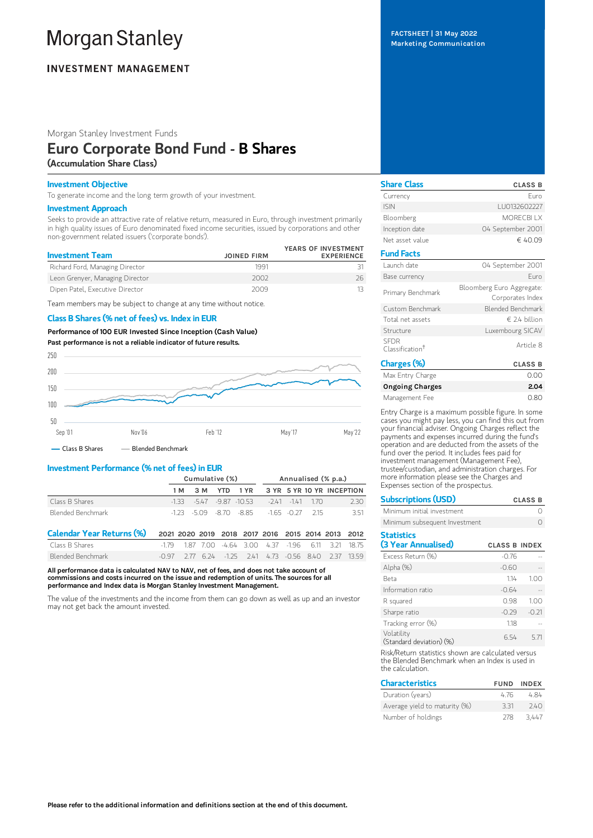# **Morgan Stanley**

# **INVESTMENT MANAGEMENT**

Morgan Stanley Investment Funds

## Euro Corporate Bond Fund - B Shares (Accumulation Share Class)

## Investment Objective

To generate income and the long term growth of your investment.

### Investment Approach

Seeks to provide an attractive rate of relative return, measured in Euro, through investment primarily in high quality issues of Euro denominated fixed income securities, issued by corporations and other non-government related issuers ('corporate bonds').

| <b>Investment Team</b>          | <b>JOINED FIRM</b> | YEARS OF INVESTMENT<br><b>EXPERIENCE</b> |
|---------------------------------|--------------------|------------------------------------------|
| Richard Ford, Managing Director | 1991               |                                          |
| Leon Grenyer, Managing Director | 2002               | 26.                                      |
| Dipen Patel, Executive Director | 2009               |                                          |

Team members may be subject to change at any time without notice.

## Class B Shares (% net of fees) vs. Index in EUR

Performance of100 EUR Invested Since Inception (Cash Value) Past performance is not a reliable indicator of future results.



- Class B Shares - Blended Benchmark

## Investment Performance (% net of fees) in EUR

|                   | Cumulative (%) |  |  |                                                 | Annualised (% p.a.) |  |  |                                      |
|-------------------|----------------|--|--|-------------------------------------------------|---------------------|--|--|--------------------------------------|
|                   |                |  |  |                                                 |                     |  |  | 1M 3M YTD 1YR 3YR 5YR 10YR INCEPTION |
| Class B Shares    |                |  |  | $-133 - 547 - 987 - 1053 - 241 - 141 - 170$     |                     |  |  | 2.30                                 |
| Blended Benchmark |                |  |  | $-1.73 - 5.09 - 8.70 - 8.85 - 1.65 - 0.77$ 2.15 |                     |  |  | 351                                  |

| Calendar Year Returns (%) 2021 2020 2019 2018 2017 2016 2015 2014 2013 2012 |  |  |  |  |                                                                           |
|-----------------------------------------------------------------------------|--|--|--|--|---------------------------------------------------------------------------|
| Class B Shares                                                              |  |  |  |  | $-1.79$ 1.87 7.00 $-4.64$ 3.00 4.37 -1.96 6.11 3.21 18.75                 |
| Blended Benchmark                                                           |  |  |  |  | $-0.97$ $2.77$ $6.24$ $-1.25$ $2.41$ $4.73$ $-0.56$ $8.40$ $2.37$ $13.59$ |

All performance data is calculated NAV to NAV, net of fees, and does not take account of commissions and costs incurred on the issue and redemption of units. The sources for all performance and Index data is Morgan Stanley Investment Management.

The value of the investments and the income from them can go down as well as up and an investor may not get back the amount invested.

## FACTSHEET | 31 May 2022 Marketing Communication

| <b>Share Class</b>                         | <b>CLASS B</b>                                |
|--------------------------------------------|-----------------------------------------------|
| Currency                                   | Furo                                          |
| <b>ISIN</b>                                | LU0132602227                                  |
| Bloomberg                                  | <b>MORECBLLX</b>                              |
| Inception date                             | 04 September 2001                             |
| Net asset value                            | € 40.09                                       |
| <b>Fund Facts</b>                          |                                               |
| Launch date                                | 04 September 2001                             |
| Base currency                              | Furo                                          |
| Primary Benchmark                          | Bloomberg Euro Aggregate:<br>Corporates Index |
| Custom Benchmark                           | Blended Benchmark                             |
| Total net assets                           | $\in$ 24 hillion                              |
| Structure                                  | Luxembourg SICAV                              |
| <b>SEDR</b><br>Classification <sup>†</sup> | Article 8                                     |
| Charges (%)                                | <b>CLASS B</b>                                |
| Max Entry Charge                           | 0.00                                          |

| Max Entry Charge       | 0.00 |
|------------------------|------|
| <b>Ongoing Charges</b> | 2.04 |
| Management Fee         | 0.80 |

Entry Charge is a maximum possible figure. In some cases you might pay less, you can find this out from your financial adviser. Ongoing Charges reflect the payments and expenses incurred during the fund's operation and are deducted from the assets of the fund over the period. It includes fees paid for investment management (Management Fee), trustee/custodian, and administration charges. For more information please see the Charges and Expenses section of the prospectus.

Subscriptions (USD) CLASS B

| Minimum initial investment               |                      |         |
|------------------------------------------|----------------------|---------|
| Minimum subsequent Investment            |                      |         |
| <b>Statistics</b><br>(3 Year Annualised) | <b>CLASS B INDEX</b> |         |
| Excess Return (%)                        | $-0.76$              |         |
| Alpha (%)                                | $-0.60$              |         |
| Beta                                     | 1.14                 | 1.00    |
| Information ratio                        | $-0.64$              |         |
| R squared                                | 0.98                 | 1.00    |
| Sharpe ratio                             | $-0.29$              | $-0.21$ |
| Tracking error (%)                       | 1.18                 |         |
| Volatility<br>(Standard deviation) (%)   | 6.54                 | 5.71    |
|                                          | $\cdots$             |         |

Risk/Return statistics shown are calculated versus the Blended Benchmark when an Index is used in the calculation.

| <b>Characteristics</b>        |     | <b>FUND INDEX</b> |
|-------------------------------|-----|-------------------|
| Duration (years)              | 476 | 484               |
| Average yield to maturity (%) | 331 | 740               |
| Number of holdings            | 278 | 3.447             |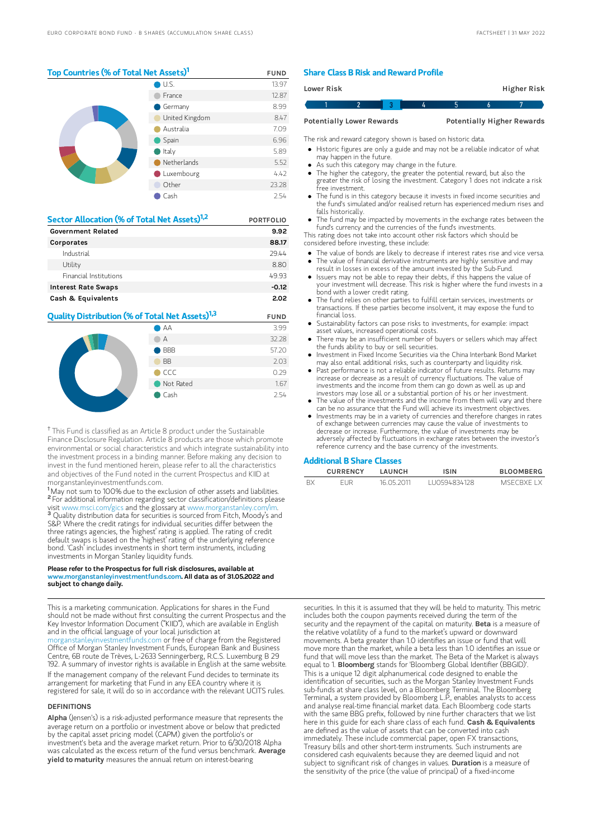## Top Countries (% of Total Net Assets)<sup>1</sup> FUND

|  | $\bigcup$ U.S. | 13.97 |
|--|----------------|-------|
|  | France         | 12.87 |
|  | Germany        | 8.99  |
|  | United Kingdom | 8.47  |
|  | Australia      | 7.09  |
|  | Spain          | 6.96  |
|  | Italy          | 5.89  |
|  | Netherlands    | 5.52  |
|  | Luxembourg     | 4.42  |
|  | Other          | 23.28 |
|  | Cash           | 2.54  |

| Sector Allocation (% of Total Net Assets) <sup>1,2</sup> | <b>PORTFOLIO</b> |
|----------------------------------------------------------|------------------|
| <b>Government Related</b>                                | 9.92             |
| Corporates                                               | 88.17            |
| Industrial                                               | 29.44            |
| Utility                                                  | 8.80             |
| <b>Financial Institutions</b>                            | 49.93            |
| <b>Interest Rate Swaps</b>                               | $-0.12$          |
| Cash & Equivalents                                       | 2.02             |

## **Quality Distribution (% of Total Net Assets)<sup>1,3</sup> FUND**



<sup>†</sup> This Fund is classified as an Article 8 product under the Sustainable Finance Disclosure Regulation. Article 8 products are those which promote environmental or social characteristics and which integrate sustainability into the investment process in a binding manner. Before making any decision to invest in the fund mentioned herein, please refer to all the characteristics and objectives of the Fund noted in the current Prospectus and KIID at morganstanleyinvestmentfunds.com.

<sup>1</sup>May not sum to 100% due to the exclusion of other assets and liabilities. <sup>2</sup> For additional information regarding sector classification/definitions please visit www.msci.com/gics and the glossary at www.morganstanley.com/im. <sup>3</sup> Quality distribution data for securities is sourced from Fitch, Moody's and S&P. Where the credit ratings for individual securities differ between the three ratings agencies, the 'highest' rating is applied. The rating of credit default swaps is based on the 'highest' rating of the underlying reference bond. 'Cash' includes investments in short term instruments, including investments in Morgan Stanley liquidity funds.

#### Please refer to the Prospectus for full risk disclosures, available at www.morganstanleyinvestmentfunds.com. All data as of 31.05.2022 and subject to change daily.

This is a marketing communication. Applications for shares in the Fund should not be made without first consulting the current Prospectus and the Key Investor Information Document ("KIID"), which are available in English and in the official language of your local jurisdiction at [morganstanleyinvestmentfunds.com](https://www.morganstanley.com/im/msinvf/index.html) or free of charge from the Registered

Office of Morgan Stanley Investment Funds, European Bank and Business Centre, 6B route de Trèves, L-2633 Senningerberg, R.C.S. Luxemburg B 29 192. A summary of investor rights is available in English at the same website.

If the management company of the relevant Fund decides to terminate its arrangement for marketing that Fund in any EEA country where it is registered for sale, it will do so in accordance with the relevant UCITS rules.

#### DEFINITIONS

Alpha (Jensen's) is a risk-adjusted performance measure that represents the average return on a portfolio or investment above or below that predicted by the capital asset pricing model (CAPM) given the portfolio's or investment's beta and the average market return. Prior to 6/30/2018 Alpha was calculated as the excess return of the fund versus benchmark. Average yield to maturity measures the annual return on interest-bearing

## Share Class B Risk and Reward Profile

| Lower Risk                       |  |  |  |                                   | Higher Risk |
|----------------------------------|--|--|--|-----------------------------------|-------------|
|                                  |  |  |  |                                   |             |
| <b>Potentially Lower Rewards</b> |  |  |  | <b>Potentially Higher Rewards</b> |             |

The risk and reward category shown is based on historic data.

- Historic figures are only a guide and may not be a reliable indicator of what may happen in the future.
- As such this category may change in the future.
- The higher the category, the greater the potential reward, but also the greater the risk of losing the investment. Category 1 does not indicate a risk free investment.
- The fund is in this category because it invests in fixed income securities and the fund's simulated and/or realised return has experienced medium rises and falls historically.
- The fund may be impacted by movements in the exchange rates between the fund's currency and the currencies of the fund's investments.

This rating does not take into account other risk factors which should be considered before investing, these include:

- The value of bonds are likely to decrease if interest rates rise and vice versa.  $\bullet$
- The value of financial derivative instruments are highly sensitive and may result in losses in excess of the amount invested by the Sub-Fund. Issuers may not be able to repay their debts, if this happens the value of
- your investment will decrease. This risk is higher where the fund invests in a bond with a lower credit rating.
- The fund relies on other parties to fulfill certain services, investments or transactions. If these parties become insolvent, it may expose the fund to financial loss.
- Sustainability factors can pose risks to investments, for example: impact asset values, increased operational costs.
- There may be an insufficient number of buyers or sellers which may affect the funds ability to buy or sell securities.
- Investment in Fixed Income Securities via the China Interbank Bond Market may also entail additional risks, such as counterparty and liquidity risk.
- Past performance is not a reliable indicator of future results. Returns may increase or decrease as a result of currency fluctuations. The value of investments and the income from them can go down as well as up and investors may lose all or a substantial portion of his or her investment.
- The value of the investments and the income from them will vary and there can be no assurance that the Fund will achieve its investment objectives.
- Investments may be in a variety of currencies and therefore changes in rates of exchange between currencies may cause the value of investments to decrease or increase. Furthermore, the value of investments may be adversely affected by fluctuations in exchange rates between the investor's reference currency and the base currency of the investments.

## Additional B Share Classes

| <b>CURRENCY</b> | LAUNCH     | ISIN          | <b>BLOOMBERG</b> |
|-----------------|------------|---------------|------------------|
| FUR             | 16 05 2011 | 1110594834128 | MSECRXE I X      |

securities. In this it is assumed that they will be held to maturity. This metric includes both the coupon payments received during the term of the security and the repayment of the capital on maturity. Beta is a measure of the relative volatility of a fund to the market's upward or downward movements. A beta greater than 1.0 identifies an issue or fund that will move more than the market, while a beta less than 1.0 identifies an issue or fund that will move less than the market. The Beta of the Market is always equal to 1. **Bloomberg** stands for 'Bloomberg Global Identifier (BBGID) This is a unique 12 digit alphanumerical code designed to enable the identification of securities, such as the Morgan Stanley Investment Funds sub-funds at share class level, on a Bloomberg Terminal. The Bloomberg Terminal, a system provided by Bloomberg L.P., enables analysts to access and analyse real-time financial market data. Each Bloomberg code starts with the same BBG prefix, followed by nine further characters that we list here in this guide for each share class of each fund. Cash & Equivalents are defined as the value of assets that can be converted into cash immediately. These include commercial paper, open FX transactions, Treasury bills and other short-term instruments. Such instruments are considered cash equivalents because they are deemed liquid and not subject to significant risk of changes in values. Duration is a measure of the sensitivity of the price (the value of principal) of a fixed-income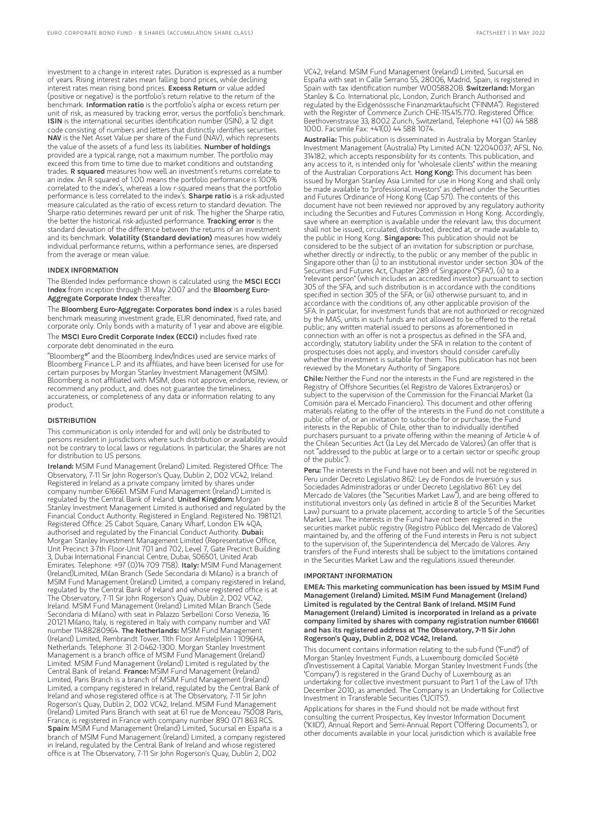investment to a change in interest rates. Duration is expressed as a number of years. Rising interest rates mean falling bond prices, while declining interest rates mean rising bond prices. Excess Return or value added (positive or negative) is the portfolio's return relative to the return of the benchmark. Information ratio is the portfolio's alpha or excess return per unit of risk, as measured by tracking error, versus the portfolio's benchmark. ISIN is the international securities identification number (ISIN), a 12 digit code consisting of numbers and letters that distinctly identifies securities. NAV is the Net Asset Value per share of the Fund (NAV), which represents the value of the assets of a fund less its liabilities. Number of holdings provided are a typical range, not a maximum number. The portfolio may exceed this from time to time due to market conditions and outstanding trades. R squared measures how well an investment's returns correlate to an index. An R squared of 1.00 means the portfolio performance is 100% correlated to the index's, whereas a low r-squared means that the portfolio performance is less correlated to the index's. **Sharpe ratio** is a risk-adjusted measure calculated as the ratio of excess return to standard deviation. The Sharpe ratio determines reward per unit of risk. The higher the Sharpe ratio, the better the historical risk-adjusted performance. Tracking error is the standard deviation of the difference between the returns of an investment and its benchmark. Volatility (Standard deviation) measures how widely individual performance returns, within a performance series, are dispersed from the average or mean value.

## INDEX INFORMATION

The Blended Index performance shown is calculated using the MSCI ECCI Index from inception through 31 May 2007 and the Bloomberg Euro-Aggregate Corporate Index thereafter.

The Bloomberg Euro-Aggregate: Corporates bond index is a rules based benchmark measuring investment grade, EUR denominated, fixed rate, and corporate only. Only bonds with a maturity of 1 year and above are eligible. The MSCI Euro Credit Corporate Index (ECCI) includes fixed rate

corporate debt denominated in the euro.

"Bloomberg®" and the Bloomberg Index/Indices used are service marks of Bloomberg Finance L.P. and its affiliates, and have been licensed for use for certain purposes by Morgan Stanley Investment Management (MSIM). Bloomberg is not affiliated with MSIM, does not approve, endorse, review, or recommend any product, and. does not guarantee the timeliness, accurateness, or completeness of any data or information relating to any product.

## **DISTRIBUTION**

This communication is only intended for and will only be distributed to persons resident in jurisdictions where such distribution or availability would not be contrary to local laws or regulations. In particular, the Shares are not for distribution to US persons.

Ireland: MSIM Fund Management (Ireland) Limited. Registered Office: The Observatory, 7-11 Sir John Rogerson's Quay, Dublin 2, D02 VC42, Ireland. Registered in Ireland as a private company limited by shares under company number 616661. MSIM Fund Management (Ireland) Limited is regulated by the Central Bank of Ireland. United Kingdom: Morgan Stanley Investment Management Limited is authorised and regulated by the Financial Conduct Authority. Registered in England. Registered No. 1981121. Registered Office: 25 Cabot Square, Canary Wharf, London E14 4QA, authorised and regulated by the Financial Conduct Authority. Dubai: Morgan Stanley Investment Management Limited (Representative Office, Unit Precinct 3-7th Floor-Unit 701 and 702, Level 7, Gate Precinct Building 3, Dubai International Financial Centre, Dubai, 506501, United Arab Emirates. Telephone: +97 (0)14 709 7158). Italy: MSIM Fund Management (Ireland)Limited, Milan Branch (Sede Secondaria di Milano) is a branch of MSIM Fund Management (Ireland) Limited, a company registered in Ireland, regulated by the Central Bank of Ireland and whose registered office is at The Observatory, 7-11 Sir John Rogerson's Quay, Dublin 2, D02 VC42, Ireland. MSIM Fund Management (Ireland) Limited Milan Branch (Sede Secondaria di Milano) with seat in Palazzo Serbelloni Corso Venezia, 16 20121 Milano, Italy, is registered in Italy with company number and VAT<br>number 11488280964. **The Netherlands:** MSIM Fund Management (Ireland) Limited, Rembrandt Tower, 11th Floor Amstelplein 1 1096HA, Netherlands. Telephone: 31 2-0462-1300. Morgan Stanley Investment Management is a branch office of MSIM Fund Management (Ireland) Limited. MSIM Fund Management (Ireland) Limited is regulated by the Entrical Number of Ireland. France: MSIM Fund Management (Ireland) Limited, Paris Branch is a branch of MSIM Fund Management (Ireland) Limited, a company registered in Ireland, regulated by the Central Bank of Ireland and whose registered office is at The Observatory, 7-11 Sir John Rogerson's Quay, Dublin 2, D02 VC42, Ireland. MSIM Fund Management (Ireland) Limited Paris Branch with seat at 61 rue de Monceau 75008 Paris, France, is registered in France with company number 890 071 863 RCS. Spain: MSIM Fund Management (Ireland) Limited, Sucursal en España is a branch of MSIM Fund Management (Ireland) Limited, a company registered in Ireland, regulated by the Central Bank of Ireland and whose registered office is at The Observatory, 7-11 Sir John Rogerson's Quay, Dublin 2, D02

VC42, Ireland. MSIM Fund Management (Ireland) Limited, Sucursal en España with seat in Calle Serrano 55, 28006, Madrid, Spain, is registered in<br>Spain with tax identification number W0058820B. **SwitzerIand:** Morgan Stanley & Co. International plc, London, Zurich Branch Authorised and regulated by the Eidgenössische Finanzmarktaufsicht ("FINMA"). Registered with the Register of Commerce Zurich CHE-115.415.770. Registered Office: Beethovenstrasse 33, 8002 Zurich, Switzerland, Telephone +41 (0) 44 588 1000. Facsimile Fax: +41(0) 44 588 1074.

Australia: This publication is disseminated in Australia by Morgan Stanley Investment Management (Australia) Pty Limited ACN: 122040037, AFSL No. 314182, which accepts responsibility for its contents. This publication, and any access to it, is intended only for "wholesale clients" within the meaning of the Australian Corporations Act. Hong Kong: This document has been issued by Morgan Stanley Asia Limited for use in Hong Kong and shall only be made available to "professional investors" as defined under the Securities and Futures Ordinance of Hong Kong (Cap 571). The contents of this document have not been reviewed nor approved by any regulatory authority including the Securities and Futures Commission in Hong Kong. Accordingly, save where an exemption is available under the relevant law, this document shall not be issued, circulated, distributed, directed at, or made available to, the public in Hong Kong. Singapore: This publication should not be considered to be the subject of an invitation for subscription or purchase, whether directly or indirectly, to the public or any member of the public in Singapore other than (i) to an institutional investor under section 304 of the Securities and Futures Act, Chapter 289 of Singapore ("SFA"), (ii) to a "relevant person" (which includes an accredited investor) pursuant to section 305 of the SFA, and such distribution is in accordance with the conditions specified in section 305 of the SFA; or (iii) otherwise pursuant to, and in accordance with the conditions of, any other applicable provision of the SFA. In particular, for investment funds that are not authorized or recognized by the MAS, units in such funds are not allowed to be offered to the retail public; any written material issued to persons as aforementioned in connection with an offer is not a prospectus as defined in the SFA and, accordingly, statutory liability under the SFA in relation to the content of prospectuses does not apply, and investors should consider carefully whether the investment is suitable for them. This publication has not been reviewed by the Monetary Authority of Singapore.

Chile: Neither the Fund nor the interests in the Fund are registered in the Registry of Offshore Securities (el Registro de Valores Extranjeros) or subject to the supervision of the Commission for the Financial Market (la Comisión para el Mercado Financiero). This document and other offering materials relating to the offer of the interests in the Fund do not constitute a public offer of, or an invitation to subscribe for or purchase, the Fund interests in the Republic of Chile, other than to individually identified purchasers pursuant to a private offering within the meaning of Article 4 of the Chilean Securities Act (la Ley del Mercado de Valores) (an offer that is not "addressed to the public at large or to a certain sector or specific group of the public").

Peru: The interests in the Fund have not been and will not be registered in Peru under Decreto Legislativo 862: Ley de Fondos de Inversión y sus Sociedades Administradoras or under Decreto Legislativo 861: Ley del Mercado de Valores (the "Securities Market Law"), and are being offered to institutional investors only (as defined in article 8 of the Securities Market Law) pursuant to a private placement, according to article 5 of the Securities Market Law. The interests in the Fund have not been registered in the securities market public registry (Registro Público del Mercado de Valores) maintained by, and the offering of the Fund interests in Peru is not subject to the supervision of, the Superintendencia del Mercado de Valores. Any transfers of the Fund interests shall be subject to the limitations contained in the Securities Market Law and the regulations issued thereunder.

#### IMPORTANT INFORMATION

EMEA: This marketing communication has been issued by MSIM Fund Management (Ireland) Limited. MSIM Fund Management (Ireland) Limited is regulated by the Central Bank of Ireland. MSIM Fund Management (Ireland) Limited is incorporated in Ireland as a private company limited by shares with company registration number 616661 and has its registered address at The Observatory, 7-11 Sir John Rogerson's Quay, Dublin 2, D02 VC42, Ireland.

This document contains information relating to the sub-fund ("Fund") of Morgan Stanley Investment Funds, a Luxembourg domiciled Société d'Investissement à Capital Variable. Morgan Stanley Investment Funds (the "Company") is registered in the Grand Duchy of Luxembourg as an undertaking for collective investment pursuant to Part 1 of the Law of 17th December 2010, as amended. The Company is an Undertaking for Collective Investment in Transferable Securities ("UCITS").

Applications for shares in the Fund should not be made without first consulting the current Prospectus, Key Investor Information Document ("KIID"), Annual Report and Semi-Annual Report ("Offering Documents"), or other documents available in your local jurisdiction which is available free